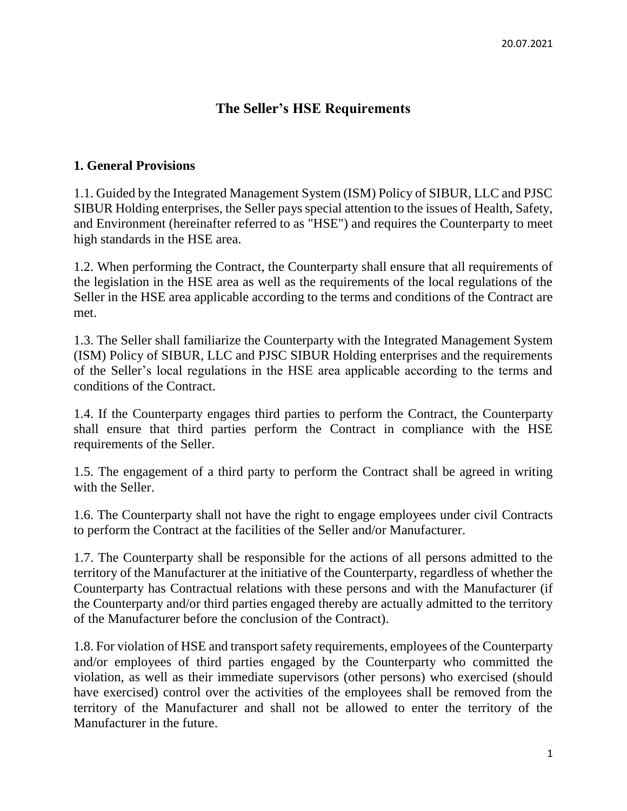# **The Seller's HSE Requirements**

#### **1. General Provisions**

1.1. Guided by the Integrated Management System (ISM) Policy of SIBUR, LLC and PJSC SIBUR Holding enterprises, the Seller pays special attention to the issues of Health, Safety, and Environment (hereinafter referred to as "HSE") and requires the Counterparty to meet high standards in the HSE area.

1.2. When performing the Contract, the Counterparty shall ensure that all requirements of the legislation in the HSE area as well as the requirements of the local regulations of the Seller in the HSE area applicable according to the terms and conditions of the Contract are met.

1.3. The Seller shall familiarize the Counterparty with the Integrated Management System (ISM) Policy of SIBUR, LLC and PJSC SIBUR Holding enterprises and the requirements of the Seller's local regulations in the HSE area applicable according to the terms and conditions of the Contract.

1.4. If the Counterparty engages third parties to perform the Contract, the Counterparty shall ensure that third parties perform the Contract in compliance with the HSE requirements of the Seller.

1.5. The engagement of a third party to perform the Contract shall be agreed in writing with the Seller.

1.6. The Counterparty shall not have the right to engage employees under civil Contracts to perform the Contract at the facilities of the Seller and/or Manufacturer.

1.7. The Counterparty shall be responsible for the actions of all persons admitted to the territory of the Manufacturer at the initiative of the Counterparty, regardless of whether the Counterparty has Contractual relations with these persons and with the Manufacturer (if the Counterparty and/or third parties engaged thereby are actually admitted to the territory of the Manufacturer before the conclusion of the Contract).

1.8. For violation of HSE and transport safety requirements, employees of the Counterparty and/or employees of third parties engaged by the Counterparty who committed the violation, as well as their immediate supervisors (other persons) who exercised (should have exercised) control over the activities of the employees shall be removed from the territory of the Manufacturer and shall not be allowed to enter the territory of the Manufacturer in the future.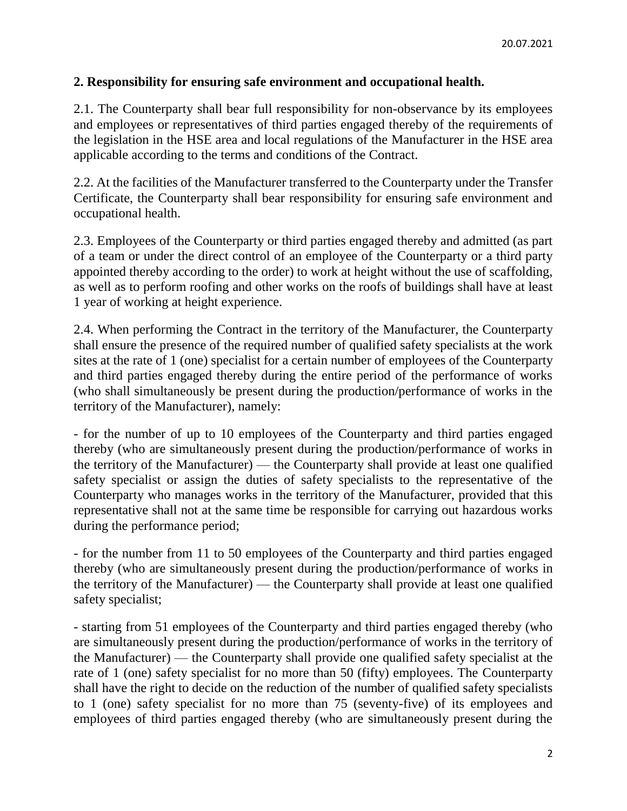### **2. Responsibility for ensuring safe environment and occupational health.**

2.1. The Counterparty shall bear full responsibility for non-observance by its employees and employees or representatives of third parties engaged thereby of the requirements of the legislation in the HSE area and local regulations of the Manufacturer in the HSE area applicable according to the terms and conditions of the Contract.

2.2. At the facilities of the Manufacturer transferred to the Counterparty under the Transfer Certificate, the Counterparty shall bear responsibility for ensuring safe environment and occupational health.

2.3. Employees of the Counterparty or third parties engaged thereby and admitted (as part of a team or under the direct control of an employee of the Counterparty or a third party appointed thereby according to the order) to work at height without the use of scaffolding, as well as to perform roofing and other works on the roofs of buildings shall have at least 1 year of working at height experience.

2.4. When performing the Contract in the territory of the Manufacturer, the Counterparty shall ensure the presence of the required number of qualified safety specialists at the work sites at the rate of 1 (one) specialist for a certain number of employees of the Counterparty and third parties engaged thereby during the entire period of the performance of works (who shall simultaneously be present during the production/performance of works in the territory of the Manufacturer), namely:

- for the number of up to 10 employees of the Counterparty and third parties engaged thereby (who are simultaneously present during the production/performance of works in the territory of the Manufacturer) — the Counterparty shall provide at least one qualified safety specialist or assign the duties of safety specialists to the representative of the Counterparty who manages works in the territory of the Manufacturer, provided that this representative shall not at the same time be responsible for carrying out hazardous works during the performance period;

- for the number from 11 to 50 employees of the Counterparty and third parties engaged thereby (who are simultaneously present during the production/performance of works in the territory of the Manufacturer) — the Counterparty shall provide at least one qualified safety specialist;

- starting from 51 employees of the Counterparty and third parties engaged thereby (who are simultaneously present during the production/performance of works in the territory of the Manufacturer) — the Counterparty shall provide one qualified safety specialist at the rate of 1 (one) safety specialist for no more than 50 (fifty) employees. The Counterparty shall have the right to decide on the reduction of the number of qualified safety specialists to 1 (one) safety specialist for no more than 75 (seventy-five) of its employees and employees of third parties engaged thereby (who are simultaneously present during the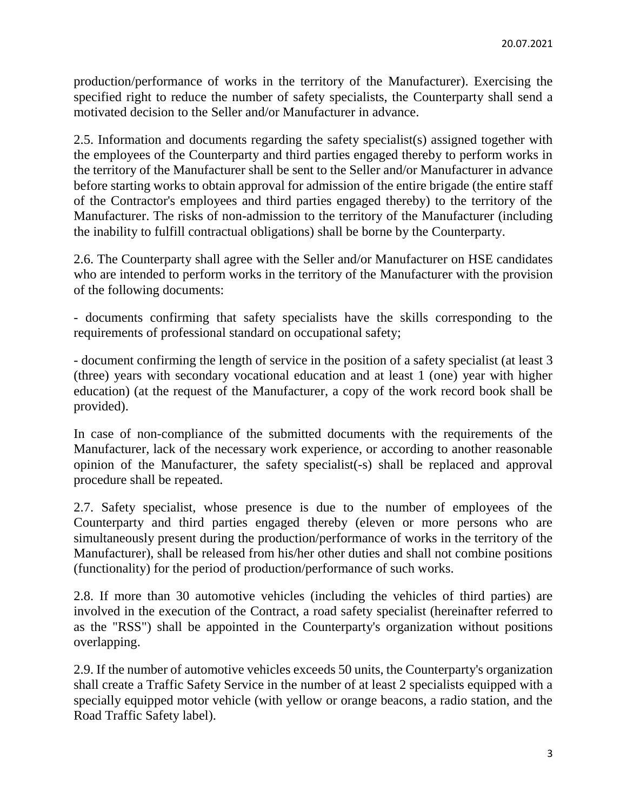production/performance of works in the territory of the Manufacturer). Exercising the specified right to reduce the number of safety specialists, the Counterparty shall send a motivated decision to the Seller and/or Manufacturer in advance.

2.5. Information and documents regarding the safety specialist(s) assigned together with the employees of the Counterparty and third parties engaged thereby to perform works in the territory of the Manufacturer shall be sent to the Seller and/or Manufacturer in advance before starting works to obtain approval for admission of the entire brigade (the entire staff of the Contractor's employees and third parties engaged thereby) to the territory of the Manufacturer. The risks of non-admission to the territory of the Manufacturer (including the inability to fulfill contractual obligations) shall be borne by the Counterparty.

2.6. The Counterparty shall agree with the Seller and/or Manufacturer on HSE candidates who are intended to perform works in the territory of the Manufacturer with the provision of the following documents:

- documents confirming that safety specialists have the skills corresponding to the requirements of professional standard on occupational safety;

- document confirming the length of service in the position of a safety specialist (at least 3 (three) years with secondary vocational education and at least 1 (one) year with higher education) (at the request of the Manufacturer, a copy of the work record book shall be provided).

In case of non-compliance of the submitted documents with the requirements of the Manufacturer, lack of the necessary work experience, or according to another reasonable opinion of the Manufacturer, the safety specialist(-s) shall be replaced and approval procedure shall be repeated.

2.7. Safety specialist, whose presence is due to the number of employees of the Counterparty and third parties engaged thereby (eleven or more persons who are simultaneously present during the production/performance of works in the territory of the Manufacturer), shall be released from his/her other duties and shall not combine positions (functionality) for the period of production/performance of such works.

2.8. If more than 30 automotive vehicles (including the vehicles of third parties) are involved in the execution of the Contract, a road safety specialist (hereinafter referred to as the "RSS") shall be appointed in the Counterparty's organization without positions overlapping.

2.9. If the number of automotive vehicles exceeds 50 units, the Counterparty's organization shall create a Traffic Safety Service in the number of at least 2 specialists equipped with a specially equipped motor vehicle (with yellow or orange beacons, a radio station, and the Road Traffic Safety label).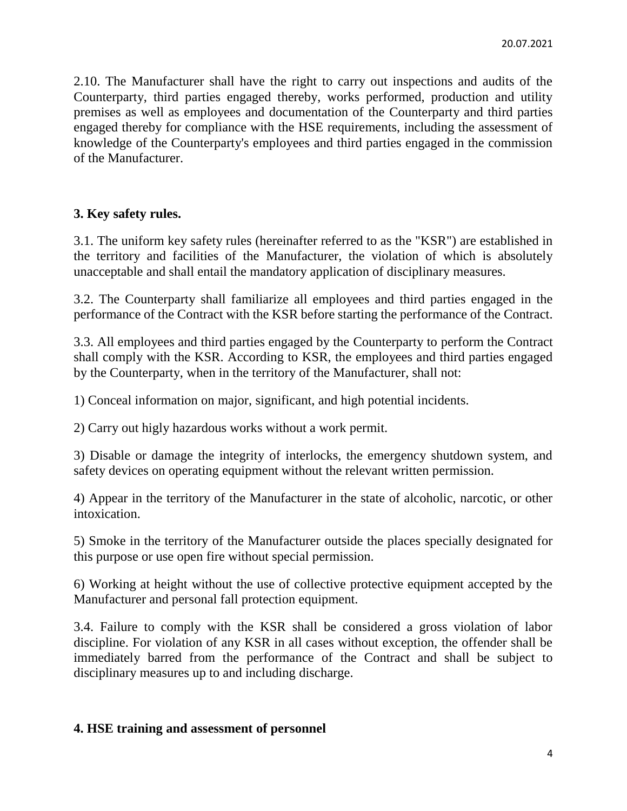2.10. The Manufacturer shall have the right to carry out inspections and audits of the Counterparty, third parties engaged thereby, works performed, production and utility premises as well as employees and documentation of the Counterparty and third parties engaged thereby for compliance with the HSE requirements, including the assessment of knowledge of the Counterparty's employees and third parties engaged in the commission of the Manufacturer.

#### **3. Key safety rules.**

3.1. The uniform key safety rules (hereinafter referred to as the "KSR") are established in the territory and facilities of the Manufacturer, the violation of which is absolutely unacceptable and shall entail the mandatory application of disciplinary measures.

3.2. The Counterparty shall familiarize all employees and third parties engaged in the performance of the Contract with the KSR before starting the performance of the Contract.

3.3. All employees and third parties engaged by the Counterparty to perform the Contract shall comply with the KSR. According to KSR, the employees and third parties engaged by the Counterparty, when in the territory of the Manufacturer, shall not:

1) Conceal information on major, significant, and high potential incidents.

2) Carry out higly hazardous works without a work permit.

3) Disable or damage the integrity of interlocks, the emergency shutdown system, and safety devices on operating equipment without the relevant written permission.

4) Appear in the territory of the Manufacturer in the state of alcoholic, narcotic, or other intoxication.

5) Smoke in the territory of the Manufacturer outside the places specially designated for this purpose or use open fire without special permission.

6) Working at height without the use of collective protective equipment accepted by the Manufacturer and personal fall protection equipment.

3.4. Failure to comply with the KSR shall be considered a gross violation of labor discipline. For violation of any KSR in all cases without exception, the offender shall be immediately barred from the performance of the Contract and shall be subject to disciplinary measures up to and including discharge.

#### **4. HSE training and assessment of personnel**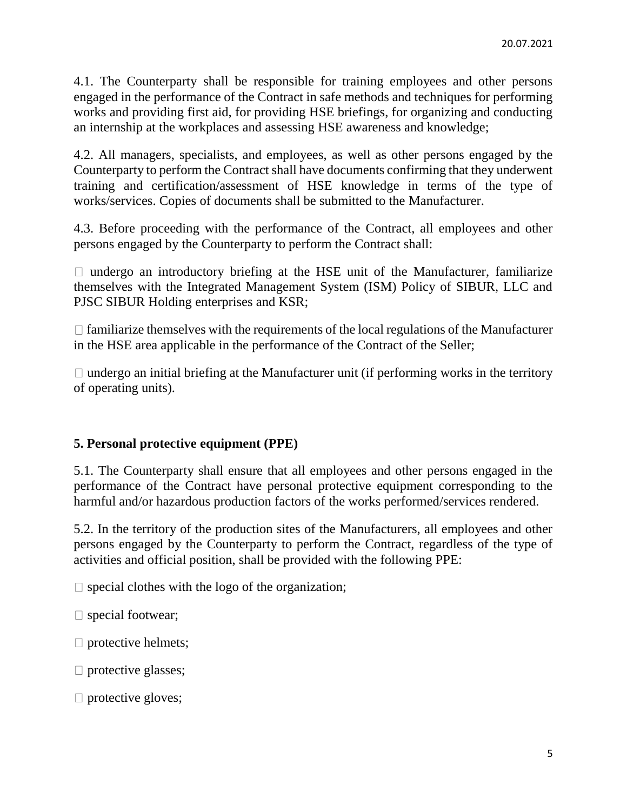4.1. The Counterparty shall be responsible for training employees and other persons engaged in the performance of the Contract in safe methods and techniques for performing works and providing first aid, for providing HSE briefings, for organizing and conducting an internship at the workplaces and assessing HSE awareness and knowledge;

4.2. All managers, specialists, and employees, as well as other persons engaged by the Counterparty to perform the Contract shall have documents confirming that they underwent training and certification/assessment of HSE knowledge in terms of the type of works/services. Copies of documents shall be submitted to the Manufacturer.

4.3. Before proceeding with the performance of the Contract, all employees and other persons engaged by the Counterparty to perform the Contract shall:

 $\Box$  undergo an introductory briefing at the HSE unit of the Manufacturer, familiarize themselves with the Integrated Management System (ISM) Policy of SIBUR, LLC and PJSC SIBUR Holding enterprises and KSR;

 $\Box$  familiarize themselves with the requirements of the local regulations of the Manufacturer in the HSE area applicable in the performance of the Contract of the Seller;

 $\Box$  undergo an initial briefing at the Manufacturer unit (if performing works in the territory of operating units).

#### **5. Personal protective equipment (PPE)**

5.1. The Counterparty shall ensure that all employees and other persons engaged in the performance of the Contract have personal protective equipment corresponding to the harmful and/or hazardous production factors of the works performed/services rendered.

5.2. In the territory of the production sites of the Manufacturers, all employees and other persons engaged by the Counterparty to perform the Contract, regardless of the type of activities and official position, shall be provided with the following PPE:

 $\Box$  special clothes with the logo of the organization;

 $\Box$  special footwear;

 $\Box$  protective helmets;

 $\square$  protective glasses;

 $\Box$  protective gloves;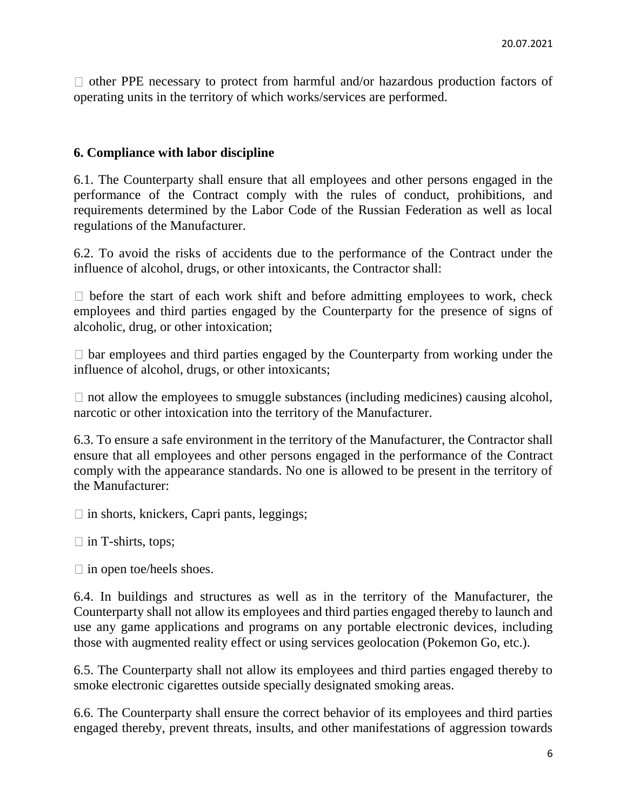$\Box$  other PPE necessary to protect from harmful and/or hazardous production factors of operating units in the territory of which works/services are performed.

#### **6. Compliance with labor discipline**

6.1. The Counterparty shall ensure that all employees and other persons engaged in the performance of the Contract comply with the rules of conduct, prohibitions, and requirements determined by the Labor Code of the Russian Federation as well as local regulations of the Manufacturer.

6.2. To avoid the risks of accidents due to the performance of the Contract under the influence of alcohol, drugs, or other intoxicants, the Contractor shall:

 $\Box$  before the start of each work shift and before admitting employees to work, check employees and third parties engaged by the Counterparty for the presence of signs of alcoholic, drug, or other intoxication;

 $\Box$  bar employees and third parties engaged by the Counterparty from working under the influence of alcohol, drugs, or other intoxicants;

 $\Box$  not allow the employees to smuggle substances (including medicines) causing alcohol, narcotic or other intoxication into the territory of the Manufacturer.

6.3. To ensure a safe environment in the territory of the Manufacturer, the Contractor shall ensure that all employees and other persons engaged in the performance of the Contract comply with the appearance standards. No one is allowed to be present in the territory of the Manufacturer:

 $\Box$  in shorts, knickers, Capri pants, leggings;

 $\Box$  in T-shirts, tops;

 $\Box$  in open toe/heels shoes.

6.4. In buildings and structures as well as in the territory of the Manufacturer, the Counterparty shall not allow its employees and third parties engaged thereby to launch and use any game applications and programs on any portable electronic devices, including those with augmented reality effect or using services geolocation (Pokemon Go, etc.).

6.5. The Counterparty shall not allow its employees and third parties engaged thereby to smoke electronic cigarettes outside specially designated smoking areas.

6.6. The Counterparty shall ensure the correct behavior of its employees and third parties engaged thereby, prevent threats, insults, and other manifestations of aggression towards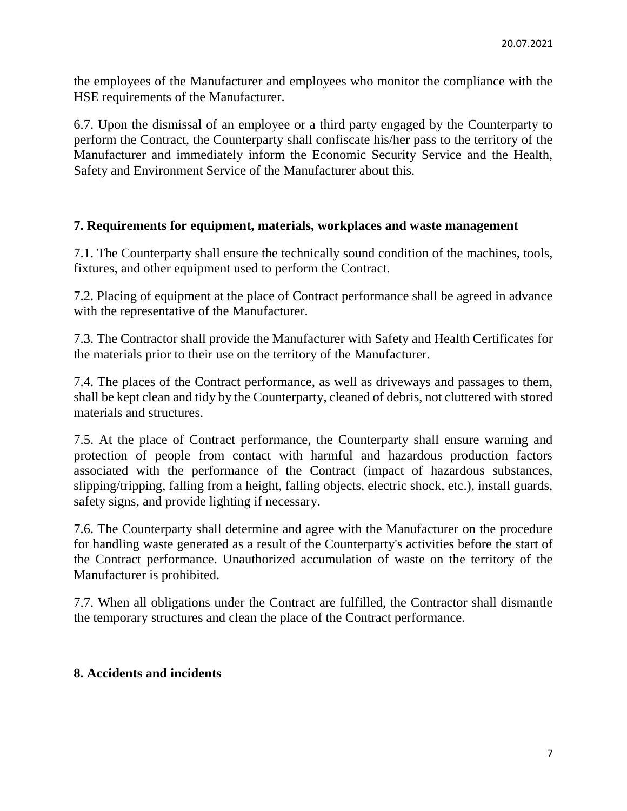the employees of the Manufacturer and employees who monitor the compliance with the HSE requirements of the Manufacturer.

6.7. Upon the dismissal of an employee or a third party engaged by the Counterparty to perform the Contract, the Counterparty shall confiscate his/her pass to the territory of the Manufacturer and immediately inform the Economic Security Service and the Health, Safety and Environment Service of the Manufacturer about this.

### **7. Requirements for equipment, materials, workplaces and waste management**

7.1. The Counterparty shall ensure the technically sound condition of the machines, tools, fixtures, and other equipment used to perform the Contract.

7.2. Placing of equipment at the place of Contract performance shall be agreed in advance with the representative of the Manufacturer.

7.3. The Contractor shall provide the Manufacturer with Safety and Health Certificates for the materials prior to their use on the territory of the Manufacturer.

7.4. The places of the Contract performance, as well as driveways and passages to them, shall be kept clean and tidy by the Counterparty, cleaned of debris, not cluttered with stored materials and structures.

7.5. At the place of Contract performance, the Counterparty shall ensure warning and protection of people from contact with harmful and hazardous production factors associated with the performance of the Contract (impact of hazardous substances, slipping/tripping, falling from a height, falling objects, electric shock, etc.), install guards, safety signs, and provide lighting if necessary.

7.6. The Counterparty shall determine and agree with the Manufacturer on the procedure for handling waste generated as a result of the Counterparty's activities before the start of the Contract performance. Unauthorized accumulation of waste on the territory of the Manufacturer is prohibited.

7.7. When all obligations under the Contract are fulfilled, the Contractor shall dismantle the temporary structures and clean the place of the Contract performance.

#### **8. Accidents and incidents**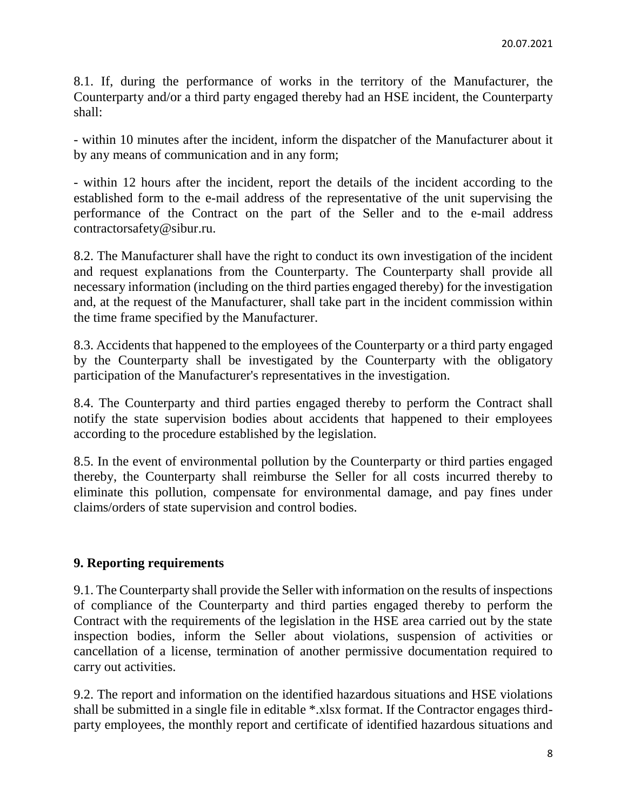8.1. If, during the performance of works in the territory of the Manufacturer, the Counterparty and/or a third party engaged thereby had an HSE incident, the Counterparty shall:

- within 10 minutes after the incident, inform the dispatcher of the Manufacturer about it by any means of communication and in any form;

- within 12 hours after the incident, report the details of the incident according to the established form to the e-mail address of the representative of the unit supervising the performance of the Contract on the part of the Seller and to the e-mail address contractorsafety@sibur.ru.

8.2. The Manufacturer shall have the right to conduct its own investigation of the incident and request explanations from the Counterparty. The Counterparty shall provide all necessary information (including on the third parties engaged thereby) for the investigation and, at the request of the Manufacturer, shall take part in the incident commission within the time frame specified by the Manufacturer.

8.3. Accidents that happened to the employees of the Counterparty or a third party engaged by the Counterparty shall be investigated by the Counterparty with the obligatory participation of the Manufacturer's representatives in the investigation.

8.4. The Counterparty and third parties engaged thereby to perform the Contract shall notify the state supervision bodies about accidents that happened to their employees according to the procedure established by the legislation.

8.5. In the event of environmental pollution by the Counterparty or third parties engaged thereby, the Counterparty shall reimburse the Seller for all costs incurred thereby to eliminate this pollution, compensate for environmental damage, and pay fines under claims/orders of state supervision and control bodies.

### **9. Reporting requirements**

9.1. The Counterparty shall provide the Seller with information on the results of inspections of compliance of the Counterparty and third parties engaged thereby to perform the Contract with the requirements of the legislation in the HSE area carried out by the state inspection bodies, inform the Seller about violations, suspension of activities or cancellation of a license, termination of another permissive documentation required to carry out activities.

9.2. The report and information on the identified hazardous situations and HSE violations shall be submitted in a single file in editable \*.xlsx format. If the Contractor engages thirdparty employees, the monthly report and certificate of identified hazardous situations and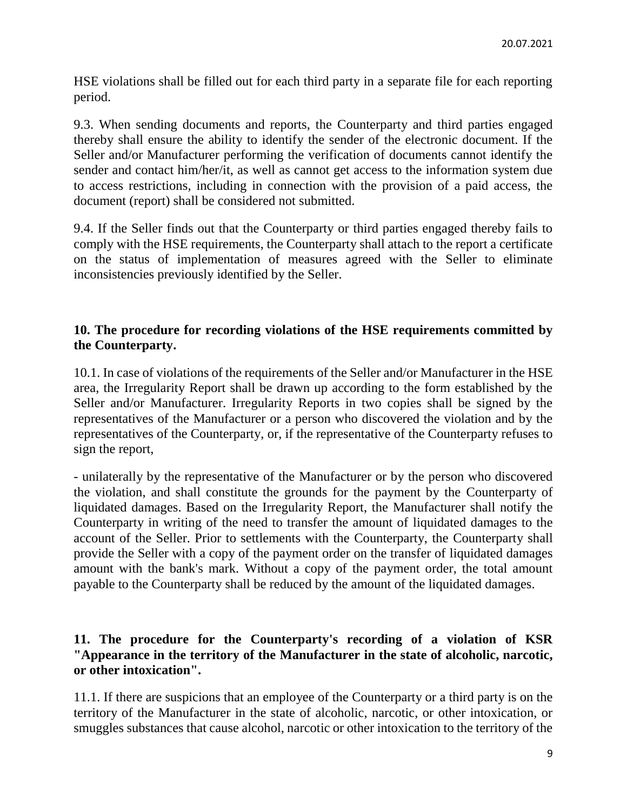HSE violations shall be filled out for each third party in a separate file for each reporting period.

9.3. When sending documents and reports, the Counterparty and third parties engaged thereby shall ensure the ability to identify the sender of the electronic document. If the Seller and/or Manufacturer performing the verification of documents cannot identify the sender and contact him/her/it, as well as cannot get access to the information system due to access restrictions, including in connection with the provision of a paid access, the document (report) shall be considered not submitted.

9.4. If the Seller finds out that the Counterparty or third parties engaged thereby fails to comply with the HSE requirements, the Counterparty shall attach to the report a certificate on the status of implementation of measures agreed with the Seller to eliminate inconsistencies previously identified by the Seller.

### **10. The procedure for recording violations of the HSE requirements committed by the Counterparty.**

10.1. In case of violations of the requirements of the Seller and/or Manufacturer in the HSE area, the Irregularity Report shall be drawn up according to the form established by the Seller and/or Manufacturer. Irregularity Reports in two copies shall be signed by the representatives of the Manufacturer or a person who discovered the violation and by the representatives of the Counterparty, or, if the representative of the Counterparty refuses to sign the report,

- unilaterally by the representative of the Manufacturer or by the person who discovered the violation, and shall constitute the grounds for the payment by the Counterparty of liquidated damages. Based on the Irregularity Report, the Manufacturer shall notify the Counterparty in writing of the need to transfer the amount of liquidated damages to the account of the Seller. Prior to settlements with the Counterparty, the Counterparty shall provide the Seller with a copy of the payment order on the transfer of liquidated damages amount with the bank's mark. Without a copy of the payment order, the total amount payable to the Counterparty shall be reduced by the amount of the liquidated damages.

### **11. The procedure for the Counterparty's recording of a violation of KSR "Appearance in the territory of the Manufacturer in the state of alcoholic, narcotic, or other intoxication".**

11.1. If there are suspicions that an employee of the Counterparty or a third party is on the territory of the Manufacturer in the state of alcoholic, narcotic, or other intoxication, or smuggles substances that cause alcohol, narcotic or other intoxication to the territory of the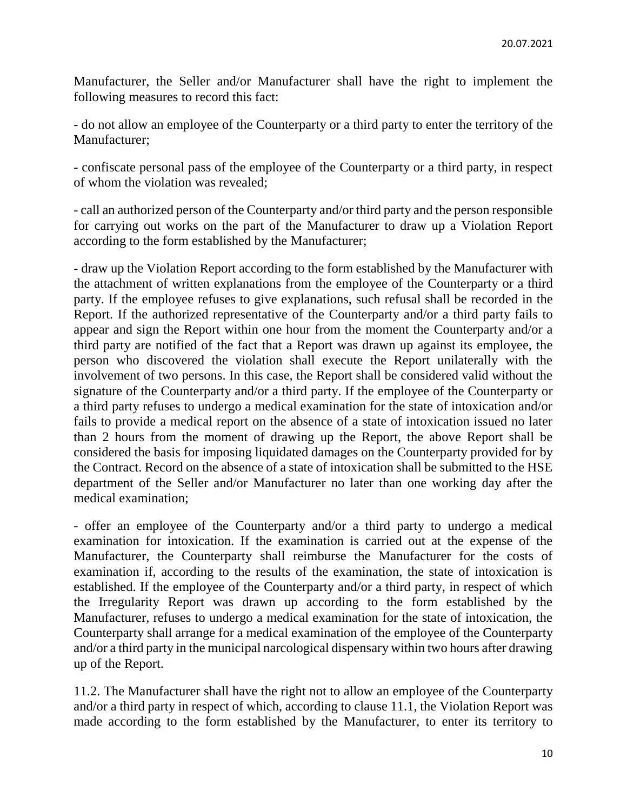Manufacturer, the Seller and/or Manufacturer shall have the right to implement the following measures to record this fact:

- do not allow an employee of the Counterparty or a third party to enter the territory of the Manufacturer;

- confiscate personal pass of the employee of the Counterparty or a third party, in respect of whom the violation was revealed;

- call an authorized person of the Counterparty and/or third party and the person responsible for carrying out works on the part of the Manufacturer to draw up a Violation Report according to the form established by the Manufacturer;

- draw up the Violation Report according to the form established by the Manufacturer with the attachment of written explanations from the employee of the Counterparty or a third party. If the employee refuses to give explanations, such refusal shall be recorded in the Report. If the authorized representative of the Counterparty and/or a third party fails to appear and sign the Report within one hour from the moment the Counterparty and/or a third party are notified of the fact that a Report was drawn up against its employee, the person who discovered the violation shall execute the Report unilaterally with the involvement of two persons. In this case, the Report shall be considered valid without the signature of the Counterparty and/or a third party. If the employee of the Counterparty or a third party refuses to undergo a medical examination for the state of intoxication and/or fails to provide a medical report on the absence of a state of intoxication issued no later than 2 hours from the moment of drawing up the Report, the above Report shall be considered the basis for imposing liquidated damages on the Counterparty provided for by the Contract. Record on the absence of a state of intoxication shall be submitted to the HSE department of the Seller and/or Manufacturer no later than one working day after the medical examination;

- offer an employee of the Counterparty and/or a third party to undergo a medical examination for intoxication. If the examination is carried out at the expense of the Manufacturer, the Counterparty shall reimburse the Manufacturer for the costs of examination if, according to the results of the examination, the state of intoxication is established. If the employee of the Counterparty and/or a third party, in respect of which the Irregularity Report was drawn up according to the form established by the Manufacturer, refuses to undergo a medical examination for the state of intoxication, the Counterparty shall arrange for a medical examination of the employee of the Counterparty and/or a third party in the municipal narcological dispensary within two hours after drawing up of the Report.

11.2. The Manufacturer shall have the right not to allow an employee of the Counterparty and/or a third party in respect of which, according to clause 11.1, the Violation Report was made according to the form established by the Manufacturer, to enter its territory to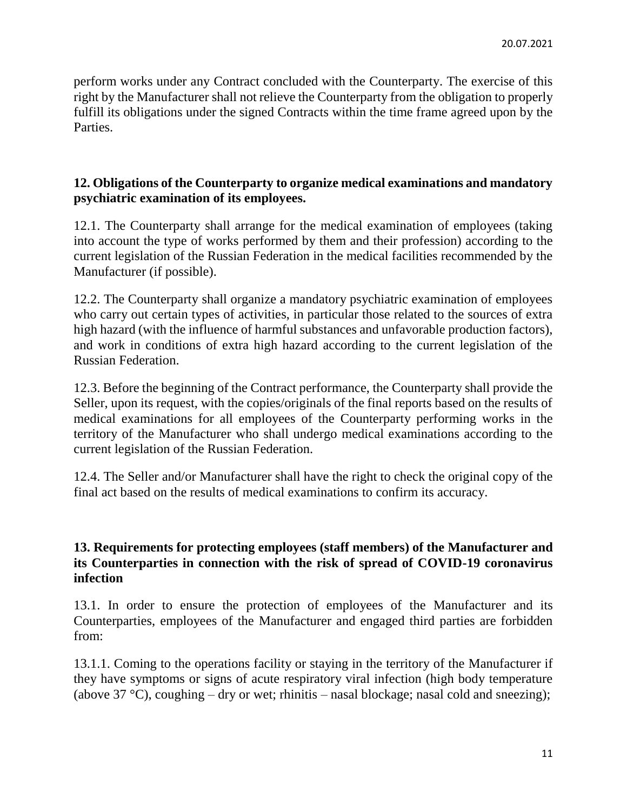perform works under any Contract concluded with the Counterparty. The exercise of this right by the Manufacturer shall not relieve the Counterparty from the obligation to properly fulfill its obligations under the signed Contracts within the time frame agreed upon by the Parties.

### **12. Obligations of the Counterparty to organize medical examinations and mandatory psychiatric examination of its employees.**

12.1. The Counterparty shall arrange for the medical examination of employees (taking into account the type of works performed by them and their profession) according to the current legislation of the Russian Federation in the medical facilities recommended by the Manufacturer (if possible).

12.2. The Counterparty shall organize a mandatory psychiatric examination of employees who carry out certain types of activities, in particular those related to the sources of extra high hazard (with the influence of harmful substances and unfavorable production factors), and work in conditions of extra high hazard according to the current legislation of the Russian Federation.

12.3. Before the beginning of the Contract performance, the Counterparty shall provide the Seller, upon its request, with the copies/originals of the final reports based on the results of medical examinations for all employees of the Counterparty performing works in the territory of the Manufacturer who shall undergo medical examinations according to the current legislation of the Russian Federation.

12.4. The Seller and/or Manufacturer shall have the right to check the original copy of the final act based on the results of medical examinations to confirm its accuracy.

### **13. Requirements for protecting employees (staff members) of the Manufacturer and its Counterparties in connection with the risk of spread of COVID-19 coronavirus infection**

13.1. In order to ensure the protection of employees of the Manufacturer and its Counterparties, employees of the Manufacturer and engaged third parties are forbidden from:

13.1.1. Coming to the operations facility or staying in the territory of the Manufacturer if they have symptoms or signs of acute respiratory viral infection (high body temperature (above 37 °C), coughing – dry or wet; rhinitis – nasal blockage; nasal cold and sneezing);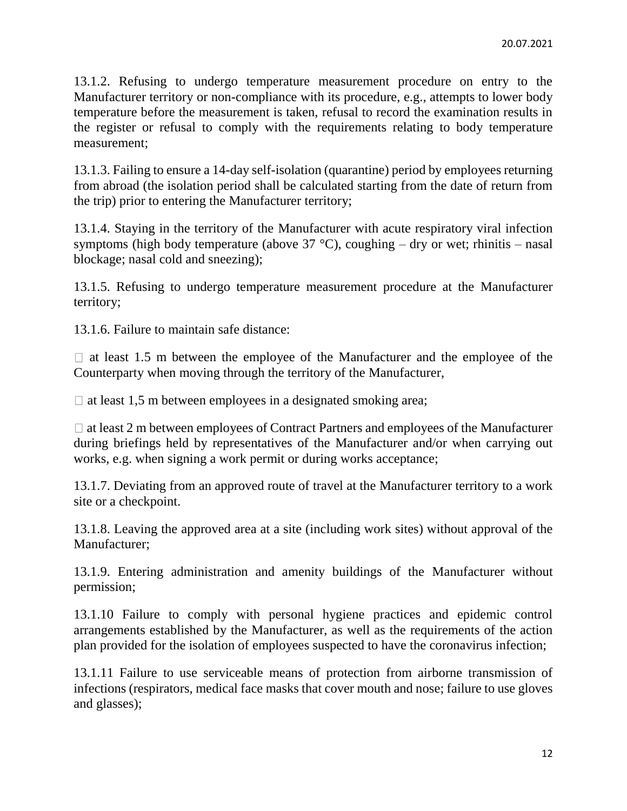13.1.2. Refusing to undergo temperature measurement procedure on entry to the Manufacturer territory or non-compliance with its procedure, e.g., attempts to lower body temperature before the measurement is taken, refusal to record the examination results in the register or refusal to comply with the requirements relating to body temperature measurement;

13.1.3. Failing to ensure a 14-day self-isolation (quarantine) period by employees returning from abroad (the isolation period shall be calculated starting from the date of return from the trip) prior to entering the Manufacturer territory;

13.1.4. Staying in the territory of the Manufacturer with acute respiratory viral infection symptoms (high body temperature (above  $37^{\circ}$ C), coughing – dry or wet; rhinitis – nasal blockage; nasal cold and sneezing);

13.1.5. Refusing to undergo temperature measurement procedure at the Manufacturer territory;

13.1.6. Failure to maintain safe distance:

 $\Box$  at least 1.5 m between the employee of the Manufacturer and the employee of the Counterparty when moving through the territory of the Manufacturer,

 $\Box$  at least 1,5 m between employees in a designated smoking area;

 $\Box$  at least 2 m between employees of Contract Partners and employees of the Manufacturer during briefings held by representatives of the Manufacturer and/or when carrying out works, e.g. when signing a work permit or during works acceptance;

13.1.7. Deviating from an approved route of travel at the Manufacturer territory to a work site or a checkpoint.

13.1.8. Leaving the approved area at a site (including work sites) without approval of the Manufacturer;

13.1.9. Entering administration and amenity buildings of the Manufacturer without permission;

13.1.10 Failure to comply with personal hygiene practices and epidemic control arrangements established by the Manufacturer, as well as the requirements of the action plan provided for the isolation of employees suspected to have the coronavirus infection;

13.1.11 Failure to use serviceable means of protection from airborne transmission of infections (respirators, medical face masks that cover mouth and nose; failure to use gloves and glasses);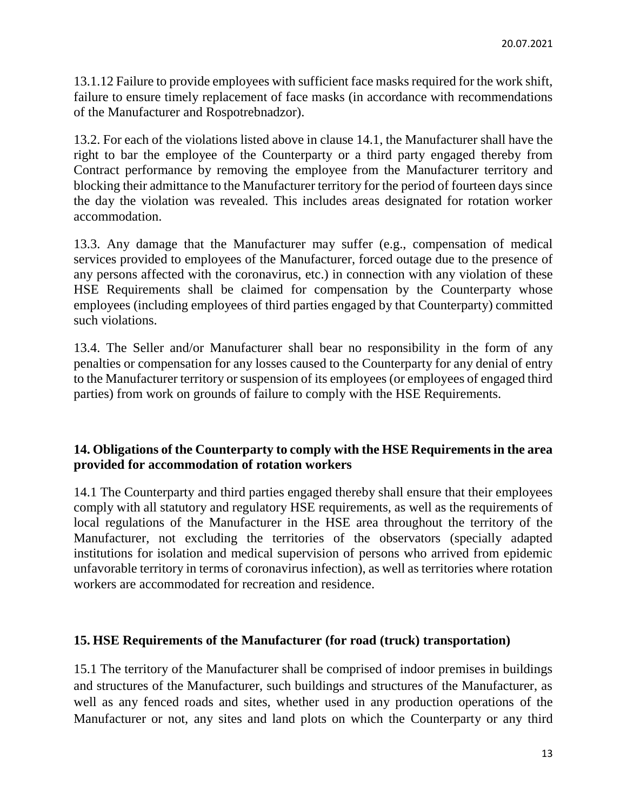13.1.12 Failure to provide employees with sufficient face masks required for the work shift, failure to ensure timely replacement of face masks (in accordance with recommendations of the Manufacturer and Rospotrebnadzor).

13.2. For each of the violations listed above in clause 14.1, the Manufacturer shall have the right to bar the employee of the Counterparty or a third party engaged thereby from Contract performance by removing the employee from the Manufacturer territory and blocking their admittance to the Manufacturer territory for the period of fourteen days since the day the violation was revealed. This includes areas designated for rotation worker accommodation.

13.3. Any damage that the Manufacturer may suffer (e.g., compensation of medical services provided to employees of the Manufacturer, forced outage due to the presence of any persons affected with the coronavirus, etc.) in connection with any violation of these HSE Requirements shall be claimed for compensation by the Counterparty whose employees (including employees of third parties engaged by that Counterparty) committed such violations.

13.4. The Seller and/or Manufacturer shall bear no responsibility in the form of any penalties or compensation for any losses caused to the Counterparty for any denial of entry to the Manufacturer territory or suspension of its employees (or employees of engaged third parties) from work on grounds of failure to comply with the HSE Requirements.

### **14. Obligations of the Counterparty to comply with the HSE Requirements in the area provided for accommodation of rotation workers**

14.1 The Counterparty and third parties engaged thereby shall ensure that their employees comply with all statutory and regulatory HSE requirements, as well as the requirements of local regulations of the Manufacturer in the HSE area throughout the territory of the Manufacturer, not excluding the territories of the observators (specially adapted institutions for isolation and medical supervision of persons who arrived from epidemic unfavorable territory in terms of coronavirus infection), as well as territories where rotation workers are accommodated for recreation and residence.

### **15. HSE Requirements of the Manufacturer (for road (truck) transportation)**

15.1 The territory of the Manufacturer shall be comprised of indoor premises in buildings and structures of the Manufacturer, such buildings and structures of the Manufacturer, as well as any fenced roads and sites, whether used in any production operations of the Manufacturer or not, any sites and land plots on which the Counterparty or any third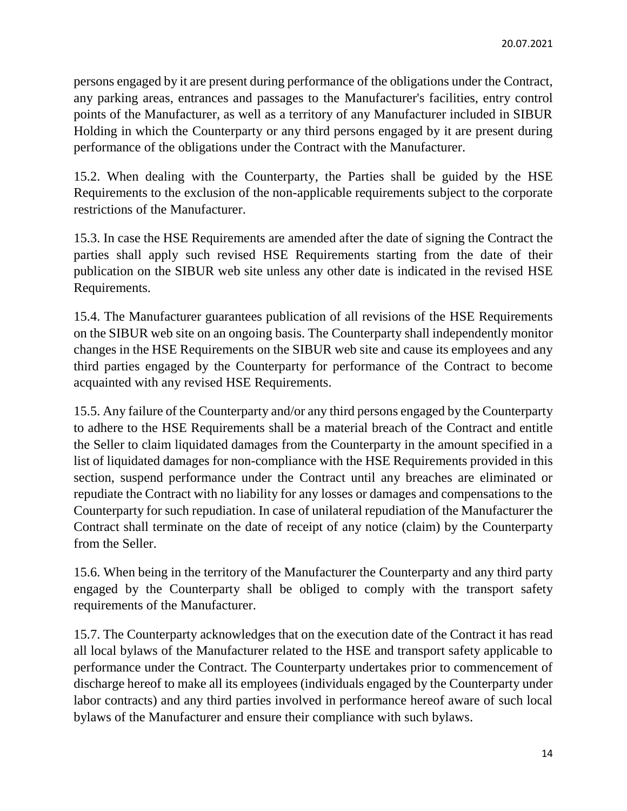persons engaged by it are present during performance of the obligations under the Contract, any parking areas, entrances and passages to the Manufacturer's facilities, entry control points of the Manufacturer, as well as a territory of any Manufacturer included in SIBUR Holding in which the Counterparty or any third persons engaged by it are present during performance of the obligations under the Contract with the Manufacturer.

15.2. When dealing with the Counterparty, the Parties shall be guided by the HSE Requirements to the exclusion of the non-applicable requirements subject to the corporate restrictions of the Manufacturer.

15.3. In case the HSE Requirements are amended after the date of signing the Contract the parties shall apply such revised HSE Requirements starting from the date of their publication on the SIBUR web site unless any other date is indicated in the revised HSE Requirements.

15.4. The Manufacturer guarantees publication of all revisions of the HSE Requirements on the SIBUR web site on an ongoing basis. The Counterparty shall independently monitor changes in the HSE Requirements on the SIBUR web site and cause its employees and any third parties engaged by the Counterparty for performance of the Contract to become acquainted with any revised HSE Requirements.

15.5. Any failure of the Counterparty and/or any third persons engaged by the Counterparty to adhere to the HSE Requirements shall be a material breach of the Contract and entitle the Seller to claim liquidated damages from the Counterparty in the amount specified in a list of liquidated damages for non-compliance with the HSE Requirements provided in this section, suspend performance under the Contract until any breaches are eliminated or repudiate the Contract with no liability for any losses or damages and compensations to the Counterparty for such repudiation. In case of unilateral repudiation of the Manufacturer the Contract shall terminate on the date of receipt of any notice (claim) by the Counterparty from the Seller.

15.6. When being in the territory of the Manufacturer the Counterparty and any third party engaged by the Counterparty shall be obliged to comply with the transport safety requirements of the Manufacturer.

15.7. The Counterparty acknowledges that on the execution date of the Contract it has read all local bylaws of the Manufacturer related to the HSE and transport safety applicable to performance under the Contract. The Counterparty undertakes prior to commencement of discharge hereof to make all its employees (individuals engaged by the Counterparty under labor contracts) and any third parties involved in performance hereof aware of such local bylaws of the Manufacturer and ensure their compliance with such bylaws.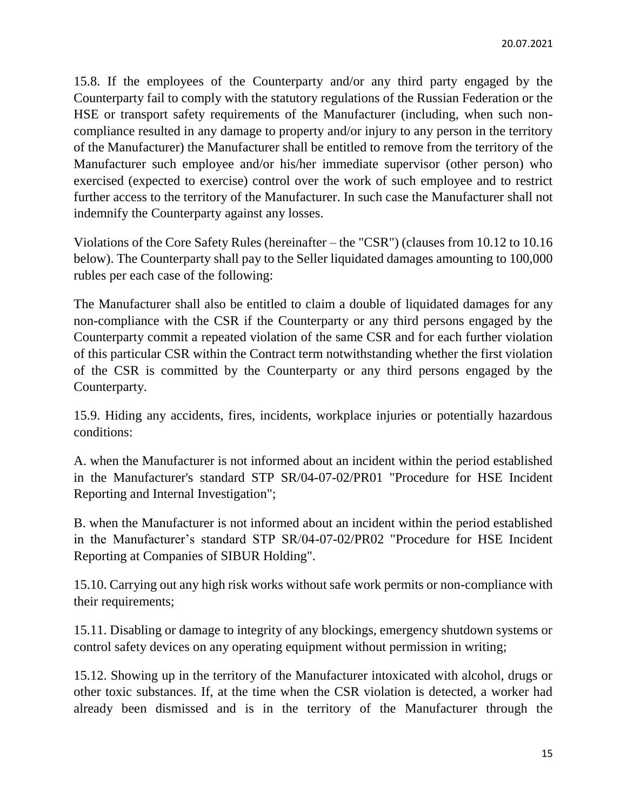15.8. If the employees of the Counterparty and/or any third party engaged by the Counterparty fail to comply with the statutory regulations of the Russian Federation or the HSE or transport safety requirements of the Manufacturer (including, when such noncompliance resulted in any damage to property and/or injury to any person in the territory of the Manufacturer) the Manufacturer shall be entitled to remove from the territory of the Manufacturer such employee and/or his/her immediate supervisor (other person) who exercised (expected to exercise) control over the work of such employee and to restrict further access to the territory of the Manufacturer. In such case the Manufacturer shall not indemnify the Counterparty against any losses.

Violations of the Core Safety Rules (hereinafter – the "CSR") (clauses from 10.12 to 10.16 below). The Counterparty shall pay to the Seller liquidated damages amounting to 100,000 rubles per each case of the following:

The Manufacturer shall also be entitled to claim a double of liquidated damages for any non-compliance with the CSR if the Counterparty or any third persons engaged by the Counterparty commit a repeated violation of the same CSR and for each further violation of this particular CSR within the Contract term notwithstanding whether the first violation of the CSR is committed by the Counterparty or any third persons engaged by the Counterparty.

15.9. Hiding any accidents, fires, incidents, workplace injuries or potentially hazardous conditions:

A. when the Manufacturer is not informed about an incident within the period established in the Manufacturer's standard STP SR/04-07-02/PR01 "Procedure for HSE Incident Reporting and Internal Investigation";

B. when the Manufacturer is not informed about an incident within the period established in the Manufacturer's standard STP SR/04-07-02/PR02 "Procedure for HSE Incident Reporting at Companies of SIBUR Holding".

15.10. Carrying out any high risk works without safe work permits or non-compliance with their requirements;

15.11. Disabling or damage to integrity of any blockings, emergency shutdown systems or control safety devices on any operating equipment without permission in writing;

15.12. Showing up in the territory of the Manufacturer intoxicated with alcohol, drugs or other toxic substances. If, at the time when the CSR violation is detected, a worker had already been dismissed and is in the territory of the Manufacturer through the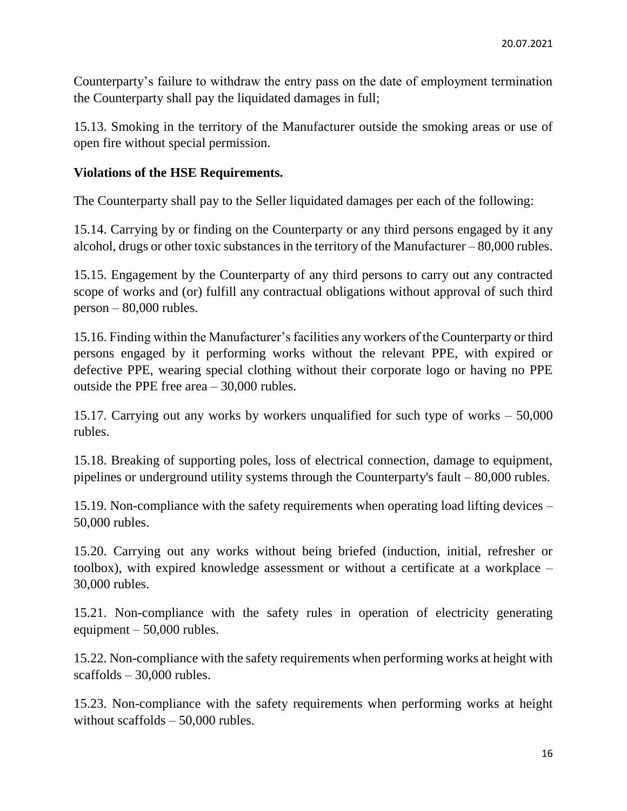Counterparty's failure to withdraw the entry pass on the date of employment termination the Counterparty shall pay the liquidated damages in full;

15.13. Smoking in the territory of the Manufacturer outside the smoking areas or use of open fire without special permission.

### **Violations of the HSE Requirements.**

The Counterparty shall pay to the Seller liquidated damages per each of the following:

15.14. Carrying by or finding on the Counterparty or any third persons engaged by it any alcohol, drugs or other toxic substances in the territory of the Manufacturer – 80,000 rubles.

15.15. Engagement by the Counterparty of any third persons to carry out any contracted scope of works and (or) fulfill any contractual obligations without approval of such third person – 80,000 rubles.

15.16. Finding within the Manufacturer's facilities any workers of the Counterparty or third persons engaged by it performing works without the relevant PPE, with expired or defective PPE, wearing special clothing without their corporate logo or having no PPE outside the PPE free area – 30,000 rubles.

15.17. Carrying out any works by workers unqualified for such type of works – 50,000 rubles.

15.18. Breaking of supporting poles, loss of electrical connection, damage to equipment, pipelines or underground utility systems through the Counterparty's fault – 80,000 rubles.

15.19. Non-compliance with the safety requirements when operating load lifting devices – 50,000 rubles.

15.20. Carrying out any works without being briefed (induction, initial, refresher or toolbox), with expired knowledge assessment or without a certificate at a workplace – 30,000 rubles.

15.21. Non-compliance with the safety rules in operation of electricity generating equipment  $-50,000$  rubles.

15.22. Non-compliance with the safety requirements when performing works at height with scaffolds – 30,000 rubles.

15.23. Non-compliance with the safety requirements when performing works at height without scaffolds  $-50,000$  rubles.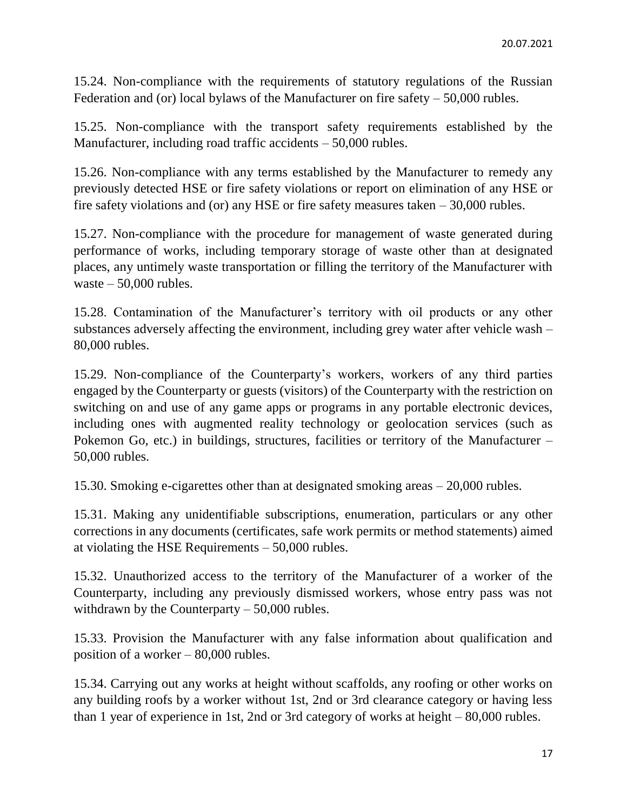15.24. Non-compliance with the requirements of statutory regulations of the Russian Federation and (or) local bylaws of the Manufacturer on fire safety – 50,000 rubles.

15.25. Non-compliance with the transport safety requirements established by the Manufacturer, including road traffic accidents – 50,000 rubles.

15.26. Non-compliance with any terms established by the Manufacturer to remedy any previously detected HSE or fire safety violations or report on elimination of any HSE or fire safety violations and (or) any HSE or fire safety measures taken – 30,000 rubles.

15.27. Non-compliance with the procedure for management of waste generated during performance of works, including temporary storage of waste other than at designated places, any untimely waste transportation or filling the territory of the Manufacturer with waste  $-50,000$  rubles.

15.28. Contamination of the Manufacturer's territory with oil products or any other substances adversely affecting the environment, including grey water after vehicle wash – 80,000 rubles.

15.29. Non-compliance of the Counterparty's workers, workers of any third parties engaged by the Counterparty or guests (visitors) of the Counterparty with the restriction on switching on and use of any game apps or programs in any portable electronic devices, including ones with augmented reality technology or geolocation services (such as Pokemon Go, etc.) in buildings, structures, facilities or territory of the Manufacturer – 50,000 rubles.

15.30. Smoking e-cigarettes other than at designated smoking areas – 20,000 rubles.

15.31. Making any unidentifiable subscriptions, enumeration, particulars or any other corrections in any documents (certificates, safe work permits or method statements) aimed at violating the HSE Requirements – 50,000 rubles.

15.32. Unauthorized access to the territory of the Manufacturer of a worker of the Counterparty, including any previously dismissed workers, whose entry pass was not withdrawn by the Counterparty – 50,000 rubles.

15.33. Provision the Manufacturer with any false information about qualification and position of a worker – 80,000 rubles.

15.34. Carrying out any works at height without scaffolds, any roofing or other works on any building roofs by a worker without 1st, 2nd or 3rd clearance category or having less than 1 year of experience in 1st, 2nd or 3rd category of works at height – 80,000 rubles.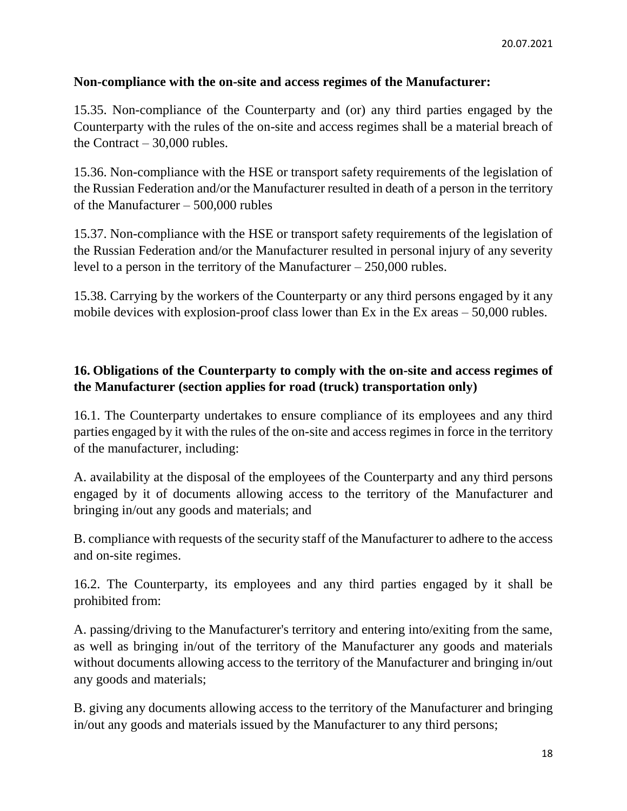### **Non-compliance with the on-site and access regimes of the Manufacturer:**

15.35. Non-compliance of the Counterparty and (or) any third parties engaged by the Counterparty with the rules of the on-site and access regimes shall be a material breach of the Contract  $-30,000$  rubles.

15.36. Non-compliance with the HSE or transport safety requirements of the legislation of the Russian Federation and/or the Manufacturer resulted in death of a person in the territory of the Manufacturer – 500,000 rubles

15.37. Non-compliance with the HSE or transport safety requirements of the legislation of the Russian Federation and/or the Manufacturer resulted in personal injury of any severity level to a person in the territory of the Manufacturer – 250,000 rubles.

15.38. Carrying by the workers of the Counterparty or any third persons engaged by it any mobile devices with explosion-proof class lower than Ex in the Ex areas – 50,000 rubles.

## **16. Obligations of the Counterparty to comply with the on-site and access regimes of the Manufacturer (section applies for road (truck) transportation only)**

16.1. The Counterparty undertakes to ensure compliance of its employees and any third parties engaged by it with the rules of the on-site and access regimes in force in the territory of the manufacturer, including:

A. availability at the disposal of the employees of the Counterparty and any third persons engaged by it of documents allowing access to the territory of the Manufacturer and bringing in/out any goods and materials; and

B. compliance with requests of the security staff of the Manufacturer to adhere to the access and on-site regimes.

16.2. The Counterparty, its employees and any third parties engaged by it shall be prohibited from:

A. passing/driving to the Manufacturer's territory and entering into/exiting from the same, as well as bringing in/out of the territory of the Manufacturer any goods and materials without documents allowing access to the territory of the Manufacturer and bringing in/out any goods and materials;

B. giving any documents allowing access to the territory of the Manufacturer and bringing in/out any goods and materials issued by the Manufacturer to any third persons;